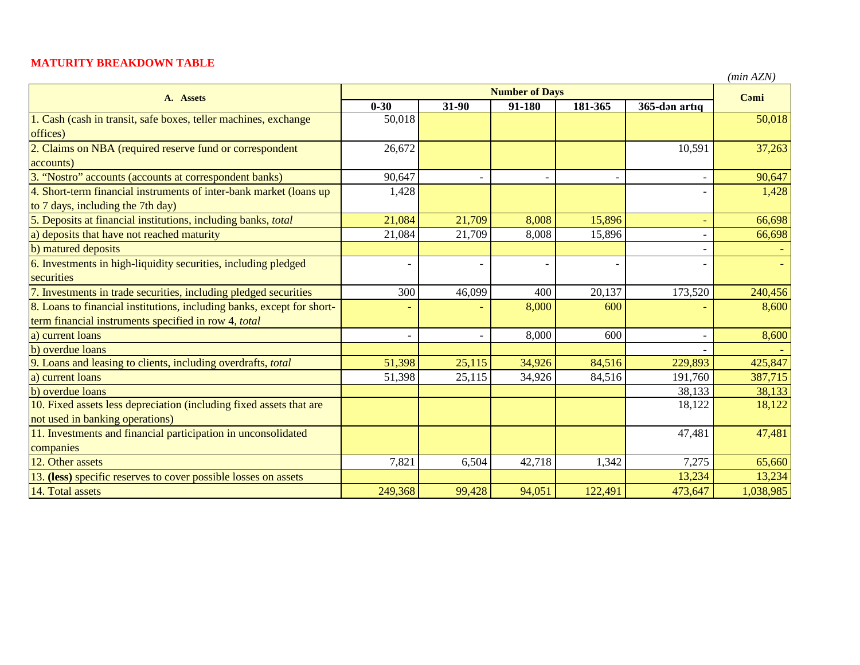## **MATURITY BREAKDOWN TABLE**

*(min AZN)*

| A. Assets                                                              | <b>Number of Days</b>    |                          |        |         |                          | Cami      |
|------------------------------------------------------------------------|--------------------------|--------------------------|--------|---------|--------------------------|-----------|
|                                                                        | $0 - 30$                 | $31-90$                  | 91-180 | 181-365 | 365-dən artıq            |           |
| 1. Cash (cash in transit, safe boxes, teller machines, exchange        | 50,018                   |                          |        |         |                          | 50,018    |
| offices)                                                               |                          |                          |        |         |                          |           |
| 2. Claims on NBA (required reserve fund or correspondent               | 26,672                   |                          |        |         | 10,591                   | 37,263    |
| accounts)                                                              |                          |                          |        |         |                          |           |
| 3. "Nostro" accounts (accounts at correspondent banks)                 | 90,647                   | $\blacksquare$           |        |         | $\overline{\phantom{a}}$ | 90,647    |
| 4. Short-term financial instruments of inter-bank market (loans up     | 1,428                    |                          |        |         |                          | 1,428     |
| to 7 days, including the 7th day)                                      |                          |                          |        |         |                          |           |
| 5. Deposits at financial institutions, including banks, total          | 21,084                   | 21,709                   | 8,008  | 15,896  | $\blacksquare$           | 66,698    |
| a) deposits that have not reached maturity                             | 21,084                   | 21,709                   | 8,008  | 15,896  |                          | 66,698    |
| b) matured deposits                                                    |                          |                          |        |         |                          |           |
| 6. Investments in high-liquidity securities, including pledged         |                          |                          |        |         |                          |           |
| securities                                                             |                          |                          |        |         |                          |           |
| 7. Investments in trade securities, including pledged securities       | 300                      | 46,099                   | 400    | 20,137  | 173,520                  | 240,456   |
| 8. Loans to financial institutions, including banks, except for short- |                          | ÷,                       | 8,000  | 600     |                          | 8,600     |
| term financial instruments specified in row 4, total                   |                          |                          |        |         |                          |           |
| a) current loans                                                       | $\overline{\phantom{0}}$ | $\overline{\phantom{a}}$ | 8,000  | 600     |                          | 8,600     |
| b) overdue loans                                                       |                          |                          |        |         |                          |           |
| 9. Loans and leasing to clients, including overdrafts, total           | 51,398                   | 25,115                   | 34,926 | 84,516  | 229,893                  | 425,847   |
| a) current loans                                                       | 51,398                   | 25,115                   | 34,926 | 84,516  | 191,760                  | 387,715   |
| b) overdue loans                                                       |                          |                          |        |         | 38,133                   | 38,133    |
| 10. Fixed assets less depreciation (including fixed assets that are    |                          |                          |        |         | 18,122                   | 18,122    |
| not used in banking operations)                                        |                          |                          |        |         |                          |           |
| 11. Investments and financial participation in unconsolidated          |                          |                          |        |         | 47,481                   | 47,481    |
| companies                                                              |                          |                          |        |         |                          |           |
| 12. Other assets                                                       | 7,821                    | 6,504                    | 42,718 | 1,342   | 7,275                    | 65,660    |
| 13. (less) specific reserves to cover possible losses on assets        |                          |                          |        |         | 13,234                   | 13,234    |
| 14. Total assets                                                       | 249,368                  | 99,428                   | 94,051 | 122,491 | 473,647                  | 1,038,985 |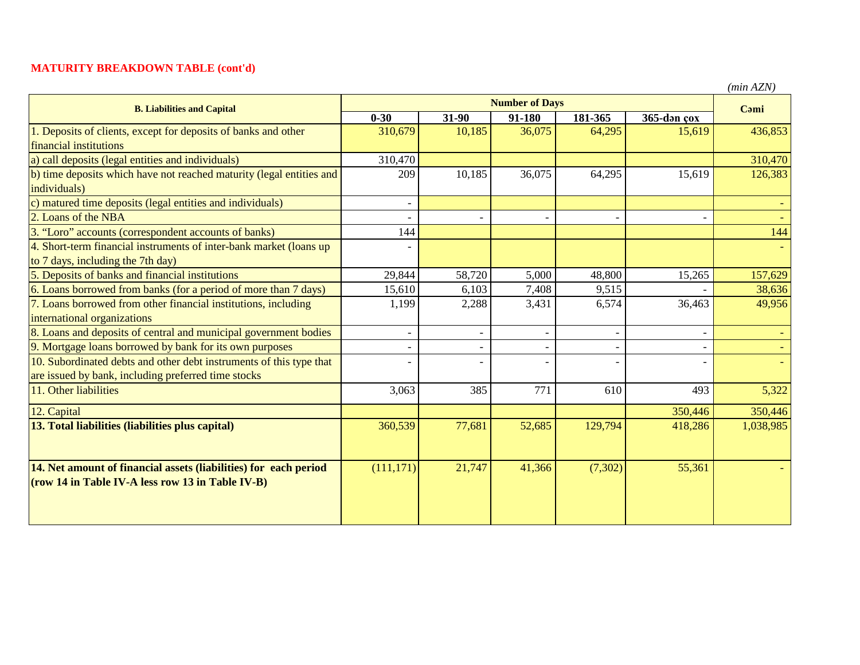## **MATURITY BREAKDOWN TABLE (cont'd)**

|  | (min AZN) |
|--|-----------|
|--|-----------|

| <b>B. Liabilities and Capital</b>                                    | <b>Number of Days</b> |                          |        |         |                          | Cami      |
|----------------------------------------------------------------------|-----------------------|--------------------------|--------|---------|--------------------------|-----------|
|                                                                      | $0 - 30$              | 31-90                    | 91-180 | 181-365 | $365$ -dən çox           |           |
| 1. Deposits of clients, except for deposits of banks and other       | 310,679               | 10,185                   | 36,075 | 64,295  | 15,619                   | 436,853   |
| financial institutions                                               |                       |                          |        |         |                          |           |
| a) call deposits (legal entities and individuals)                    | 310,470               |                          |        |         |                          | 310,470   |
| b) time deposits which have not reached maturity (legal entities and | 209                   | 10,185                   | 36,075 | 64,295  | 15,619                   | 126,383   |
| individuals)                                                         |                       |                          |        |         |                          |           |
| c) matured time deposits (legal entities and individuals)            |                       |                          |        |         |                          |           |
| 2. Loans of the NBA                                                  |                       |                          |        |         |                          |           |
| 3. "Loro" accounts (correspondent accounts of banks)                 | 144                   |                          |        |         |                          | 144       |
| 4. Short-term financial instruments of inter-bank market (loans up   |                       |                          |        |         |                          |           |
| to 7 days, including the 7th day)                                    |                       |                          |        |         |                          |           |
| 5. Deposits of banks and financial institutions                      | 29,844                | 58,720                   | 5,000  | 48,800  | 15,265                   | 157,629   |
| 6. Loans borrowed from banks (for a period of more than 7 days)      | 15,610                | 6,103                    | 7,408  | 9,515   |                          | 38,636    |
| 7. Loans borrowed from other financial institutions, including       | 1,199                 | 2,288                    | 3,431  | 6,574   | 36,463                   | 49,956    |
| international organizations                                          |                       |                          |        |         |                          |           |
| 8. Loans and deposits of central and municipal government bodies     |                       | $\overline{\phantom{a}}$ |        |         | $\overline{\phantom{a}}$ |           |
| 9. Mortgage loans borrowed by bank for its own purposes              |                       | $\overline{\phantom{a}}$ |        |         | $\overline{\phantom{a}}$ |           |
| 10. Subordinated debts and other debt instruments of this type that  |                       |                          |        |         |                          |           |
| are issued by bank, including preferred time stocks                  |                       |                          |        |         |                          |           |
| 11. Other liabilities                                                | 3,063                 | 385                      | 771    | 610     | 493                      | 5,322     |
| 12. Capital                                                          |                       |                          |        |         | 350,446                  | 350,446   |
| 13. Total liabilities (liabilities plus capital)                     | 360,539               | 77,681                   | 52,685 | 129,794 | 418,286                  | 1,038,985 |
|                                                                      |                       |                          |        |         |                          |           |
|                                                                      |                       |                          |        |         |                          |           |
| 14. Net amount of financial assets (liabilities) for each period     | (111, 171)            | 21,747                   | 41,366 | (7,302) | 55,361                   |           |
| (row 14 in Table IV-A less row 13 in Table IV-B)                     |                       |                          |        |         |                          |           |
|                                                                      |                       |                          |        |         |                          |           |
|                                                                      |                       |                          |        |         |                          |           |